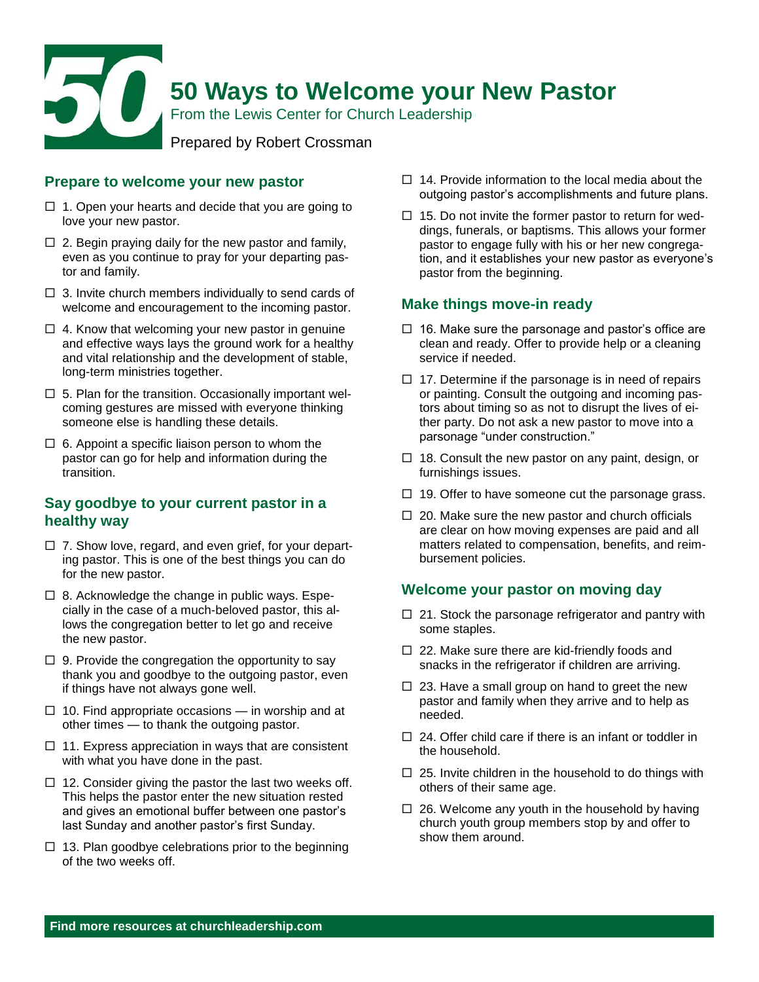

#### **Prepare to welcome your new pastor**

- $\Box$  1. Open your hearts and decide that you are going to love your new pastor.
- $\Box$  2. Begin praying daily for the new pastor and family, even as you continue to pray for your departing pastor and family.
- $\Box$  3. Invite church members individually to send cards of welcome and encouragement to the incoming pastor.
- $\Box$  4. Know that welcoming your new pastor in genuine and effective ways lays the ground work for a healthy and vital relationship and the development of stable, long-term ministries together.
- $\Box$  5. Plan for the transition. Occasionally important welcoming gestures are missed with everyone thinking someone else is handling these details.
- $\Box$  6. Appoint a specific liaison person to whom the pastor can go for help and information during the transition.

## **Say goodbye to your current pastor in a healthy way**

- $\Box$  7. Show love, regard, and even grief, for your departing pastor. This is one of the best things you can do for the new pastor.
- $\Box$  8. Acknowledge the change in public ways. Especially in the case of a much-beloved pastor, this allows the congregation better to let go and receive the new pastor.
- $\Box$  9. Provide the congregation the opportunity to say thank you and goodbye to the outgoing pastor, even if things have not always gone well.
- $\Box$  10. Find appropriate occasions in worship and at other times — to thank the outgoing pastor.
- $\Box$  11. Express appreciation in ways that are consistent with what you have done in the past.
- $\Box$  12. Consider giving the pastor the last two weeks off. This helps the pastor enter the new situation rested and gives an emotional buffer between one pastor's last Sunday and another pastor's first Sunday.
- $\Box$  13. Plan goodbye celebrations prior to the beginning of the two weeks off.
- $\Box$  14. Provide information to the local media about the outgoing pastor's accomplishments and future plans.
- $\Box$  15. Do not invite the former pastor to return for weddings, funerals, or baptisms. This allows your former pastor to engage fully with his or her new congregation, and it establishes your new pastor as everyone's pastor from the beginning.

#### **Make things move-in ready**

- $\Box$  16. Make sure the parsonage and pastor's office are clean and ready. Offer to provide help or a cleaning service if needed.
- $\Box$  17. Determine if the parsonage is in need of repairs or painting. Consult the outgoing and incoming pastors about timing so as not to disrupt the lives of either party. Do not ask a new pastor to move into a parsonage "under construction."
- $\Box$  18. Consult the new pastor on any paint, design, or furnishings issues.
- $\Box$  19. Offer to have someone cut the parsonage grass.
- $\Box$  20. Make sure the new pastor and church officials are clear on how moving expenses are paid and all matters related to compensation, benefits, and reimbursement policies.

#### **Welcome your pastor on moving day**

- $\Box$  21. Stock the parsonage refrigerator and pantry with some staples.
- $\Box$  22. Make sure there are kid-friendly foods and snacks in the refrigerator if children are arriving.
- $\Box$  23. Have a small group on hand to greet the new pastor and family when they arrive and to help as needed.
- $\Box$  24. Offer child care if there is an infant or toddler in the household.
- $\Box$  25. Invite children in the household to do things with others of their same age.
- $\Box$  26. Welcome any youth in the household by having church youth group members stop by and offer to show them around.